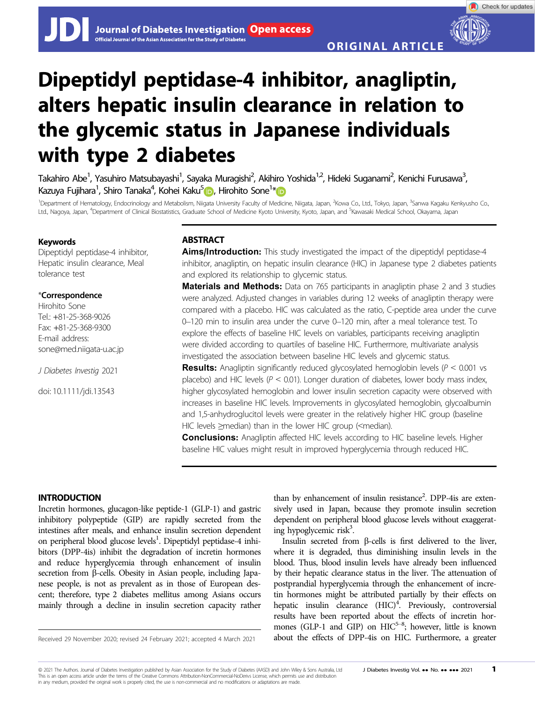Check for updates

# Dipeptidyl peptidase-4 inhibitor, anagliptin, alters hepatic insulin clearance in relation to the glycemic status in Japanese individuals with type 2 diabetes

Takahiro Abe<sup>1</sup>, Yasuhiro Matsubayashi<sup>1</sup>, Sayaka Muragishi<sup>2</sup>, Akihiro Yoshida<sup>1,2</sup>, Hideki Suganami<sup>2</sup>, Kenichi Furusawa<sup>3</sup> , Kazuya Fujihara<sup>1</sup>, Shiro Tanaka<sup>4</sup>, Kohei Kaku<sup>[5](https://orcid.org/0000-0003-1574-0565)</sup>iib, Hirohito Sone<sup>1</sup>[\\*](https://orcid.org/0000-0003-1263-2817)

<sup>1</sup>Department of Hematology, Endocrinology and Metabolism, Niigata University Faculty of Medicine, Niigata, Japan, <sup>2</sup>Kowa Co., Ltd., Tokyo, Japan, <sup>3</sup>Sanwa Kagaku Kenkyusho Co. Ltd., Nagoya, Japan, <sup>4</sup>Department of Clinical Biostatistics, Graduate School of Medicine Kyoto University, Kyoto, Japan, and <sup>5</sup>Kawasaki Medical School, Okayama, Japan

#### Keywords

Dipeptidyl peptidase-4 inhibitor, Hepatic insulin clearance, Meal tolerance test

# \*Correspondence

Hirohito Sone Tel.: +81-25-368-9026 Fax: +81-25-368-9300 E-mail address: [sone@med.niigata-u.ac.jp](mailto:)

J Diabetes Investig 2021

doi: 10.1111/jdi.13543

# **ABSTRACT**

Aims/Introduction: This study investigated the impact of the dipeptidyl peptidase-4 inhibitor, anagliptin, on hepatic insulin clearance (HIC) in Japanese type 2 diabetes patients and explored its relationship to glycemic status.

**Materials and Methods:** Data on 765 participants in anagliptin phase 2 and 3 studies were analyzed. Adjusted changes in variables during 12 weeks of anagliptin therapy were compared with a placebo. HIC was calculated as the ratio, C-peptide area under the curve 0–120 min to insulin area under the curve 0–120 min, after a meal tolerance test. To explore the effects of baseline HIC levels on variables, participants receiving anagliptin were divided according to quartiles of baseline HIC. Furthermore, multivariate analysis investigated the association between baseline HIC levels and glycemic status.

**Results:** Anagliptin significantly reduced glycosylated hemoglobin levels ( $P < 0.001$  vs placebo) and HIC levels ( $P < 0.01$ ). Longer duration of diabetes, lower body mass index, higher glycosylated hemoglobin and lower insulin secretion capacity were observed with increases in baseline HIC levels. Improvements in glycosylated hemoglobin, glycoalbumin and 1,5-anhydroglucitol levels were greater in the relatively higher HIC group (baseline HIC levels ≥median) than in the lower HIC group (<median).

**Conclusions:** Anagliptin affected HIC levels according to HIC baseline levels. Higher baseline HIC values might result in improved hyperglycemia through reduced HIC.

## INTRODUCTION

Incretin hormones, glucagon-like peptide-1 (GLP-1) and gastric inhibitory polypeptide (GIP) are rapidly secreted from the intestines after meals, and enhance insulin secretion dependent on peripheral blood glucose levels<sup>1</sup>. Dipeptidyl peptidase-4 inhibitors (DPP-4is) inhibit the degradation of incretin hormones and reduce hyperglycemia through enhancement of insulin secretion from  $\beta$ -cells. Obesity in Asian people, including Japanese people, is not as prevalent as in those of European descent; therefore, type 2 diabetes mellitus among Asians occurs mainly through a decline in insulin secretion capacity rather

than by enhancement of insulin resistance<sup>2</sup>. DPP-4is are extensively used in Japan, because they promote insulin secretion dependent on peripheral blood glucose levels without exaggerating hypoglycemic risk<sup>3</sup>.

Insulin secreted from  $\beta$ -cells is first delivered to the liver, where it is degraded, thus diminishing insulin levels in the blood. Thus, blood insulin levels have already been influenced by their hepatic clearance status in the liver. The attenuation of postprandial hyperglycemia through the enhancement of incretin hormones might be attributed partially by their effects on hepatic insulin clearance (HIC)<sup>4</sup>. Previously, controversial results have been reported about the effects of incretin hormones (GLP-1 and GIP) on  $HIC^{5-8}$ ; however, little is known Received 29 November 2020; revised 24 February 2021; accepted 4 March 2021 about the effects of DPP-4is on HIC. Furthermore, a greater

© 2021 The Authors. Journal of Diabetes Investigation published by Asian Association for the Study of Diabetes (AASD) and John Wiley & Sons Australia, Ltd J Diabetes Investig Vol. •• No. •• •• 2021 1 This is an open access article under the terms of the [Creative Commons Attribution-NonCommercial-NoDerivs](http://creativecommons.org/licenses/by-nc-nd/4.0/) License, which permits use and distribution in any medium, provided the original work is properly cited, the use is non-commercial and no modifications or adaptations are made.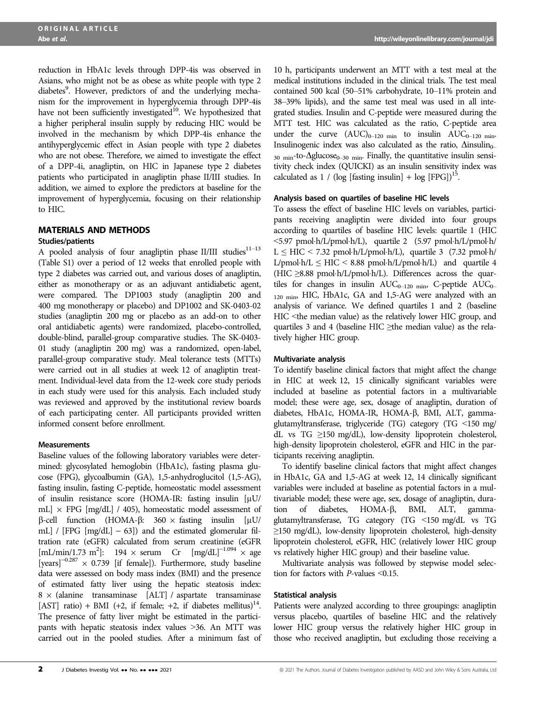Abe et al. http://wileyonlinelibrary.com/journal/jdi

reduction in HbA1c levels through DPP-4is was observed in Asians, who might not be as obese as white people with type 2 diabetes<sup>9</sup>. However, predictors of and the underlying mechanism for the improvement in hyperglycemia through DPP-4is have not been sufficiently investigated<sup>10</sup>. We hypothesized that a higher peripheral insulin supply by reducing HIC would be involved in the mechanism by which DPP-4is enhance the antihyperglycemic effect in Asian people with type 2 diabetes who are not obese. Therefore, we aimed to investigate the effect of a DPP-4i, anagliptin, on HIC in Japanese type 2 diabetes patients who participated in anagliptin phase II/III studies. In addition, we aimed to explore the predictors at baseline for the improvement of hyperglycemia, focusing on their relationship to HIC.

# MATERIALS AND METHODS

#### Studies/patients

A pooled analysis of four anagliptin phase II/III studies $11-13$ (Table S1) over a period of 12 weeks that enrolled people with type 2 diabetes was carried out, and various doses of anagliptin, either as monotherapy or as an adjuvant antidiabetic agent, were compared. The DP1003 study (anagliptin 200 and 400 mg monotherapy or placebo) and DP1002 and SK-0403-02 studies (anagliptin 200 mg or placebo as an add-on to other oral antidiabetic agents) were randomized, placebo-controlled, double-blind, parallel-group comparative studies. The SK-0403- 01 study (anagliptin 200 mg) was a randomized, open-label, parallel-group comparative study. Meal tolerance tests (MTTs) were carried out in all studies at week 12 of anagliptin treatment. Individual-level data from the 12-week core study periods in each study were used for this analysis. Each included study was reviewed and approved by the institutional review boards of each participating center. All participants provided written informed consent before enrollment.

#### **Measurements**

Baseline values of the following laboratory variables were determined: glycosylated hemoglobin (HbA1c), fasting plasma glucose (FPG), glycoalbumin (GA), 1,5-anhydroglucitol (1,5-AG), fasting insulin, fasting C-peptide, homeostatic model assessment of insulin resistance score (HOMA-IR: fasting insulin [µU/ mL]  $\times$  FPG [mg/dL] / 405), homeostatic model assessment of  $β$ -cell function (HOMA- $β$ : 360 × fasting insulin [μU/ mL] / [FPG  $[mg/dL] - 63]$ ] and the estimated glomerular filtration rate (eGFR) calculated from serum creatinine (eGFR  $[mL/min/1.73 \text{ m}^2]$ : 194 × serum Cr  $[mg/dL]^{-1.094}$  × age [years]<sup>-0.287</sup>  $\times$  0.739 [if female]). Furthermore, study baseline data were assessed on body mass index (BMI) and the presence of estimated fatty liver using the hepatic steatosis index:  $8 \times$  (alanine transaminase [ALT] / aspartate transaminase [AST] ratio) + BMI (+2, if female; +2, if diabetes mellitus)<sup>14</sup>. The presence of fatty liver might be estimated in the participants with hepatic steatosis index values >36. An MTT was carried out in the pooled studies. After a minimum fast of 10 h, participants underwent an MTT with a test meal at the medical institutions included in the clinical trials. The test meal contained 500 kcal (50–51% carbohydrate, 10–11% protein and 38–39% lipids), and the same test meal was used in all integrated studies. Insulin and C-peptide were measured during the MTT test. HIC was calculated as the ratio, C-peptide area under the curve  $(AUC)_{0-120 \text{ min}}$  to insulin  $AUC_{0-120 \text{ min}}$ . Insulinogenic index was also calculated as the ratio,  $\Delta$ insulin<sub>0–</sub>  $_{30 \text{ min}}$ -to- $\Delta$ glucose<sub>0–30 min</sub>. Finally, the quantitative insulin sensitivity check index (QUICKI) as an insulin sensitivity index was calculated as 1 / (log [fasting insulin] + log  $[{\rm FPG}]$ <sup>15</sup>.

#### Analysis based on quartiles of baseline HIC levels

To assess the effect of baseline HIC levels on variables, participants receiving anagliptin were divided into four groups according to quartiles of baseline HIC levels: quartile 1 (HIC  $\leq$ 5.97 pmol·h/L/pmol·h/L), quartile 2 (5.97 pmol·h/L/pmol·h/  $L \leq HIC \leq 7.32$  pmol·h/L/pmol·h/L), quartile 3 (7.32 pmol·h/  $L/pmol·h/L \leq HIC \leq 8.88$  pmol·h/ $L/pmol·h/L$ ) and quartile 4 (HIC  $\geq$ 8.88 pmol·h/L/pmol·h/L). Differences across the quartiles for changes in insulin  $AUC_{0-120 \text{ min}}$ , C-peptide  $AUC_{0-}$ 120 min<sup>,</sup> HIC, HbA1c, GA and 1,5-AG were analyzed with an analysis of variance. We defined quartiles 1 and 2 (baseline HIC <the median value) as the relatively lower HIC group, and quartiles 3 and 4 (baseline HIC  $\geq$ the median value) as the relatively higher HIC group.

#### Multivariate analysis

To identify baseline clinical factors that might affect the change in HIC at week 12, 15 clinically significant variables were included at baseline as potential factors in a multivariable model; these were age, sex, dosage of anagliptin, duration of diabetes, HbA1c, HOMA-IR, HOMA- $\beta$ , BMI, ALT, gammaglutamyltransferase, triglyceride (TG) category (TG <150 mg/ dL vs TG ≥150 mg/dL), low-density lipoprotein cholesterol, high-density lipoprotein cholesterol, eGFR and HIC in the participants receiving anagliptin.

To identify baseline clinical factors that might affect changes in HbA1c, GA and 1,5-AG at week 12, 14 clinically significant variables were included at baseline as potential factors in a multivariable model; these were age, sex, dosage of anagliptin, duration of diabetes, HOMA- $\beta$ , BMI, ALT, gammaglutamyltransferase, TG category (TG <150 mg/dL vs TG ≥150 mg/dL), low-density lipoprotein cholesterol, high-density lipoprotein cholesterol, eGFR, HIC (relatively lower HIC group vs relatively higher HIC group) and their baseline value.

Multivariate analysis was followed by stepwise model selection for factors with  $P$ -values < 0.15.

#### Statistical analysis

Patients were analyzed according to three groupings: anagliptin versus placebo, quartiles of baseline HIC and the relatively lower HIC group versus the relatively higher HIC group in those who received anagliptin, but excluding those receiving a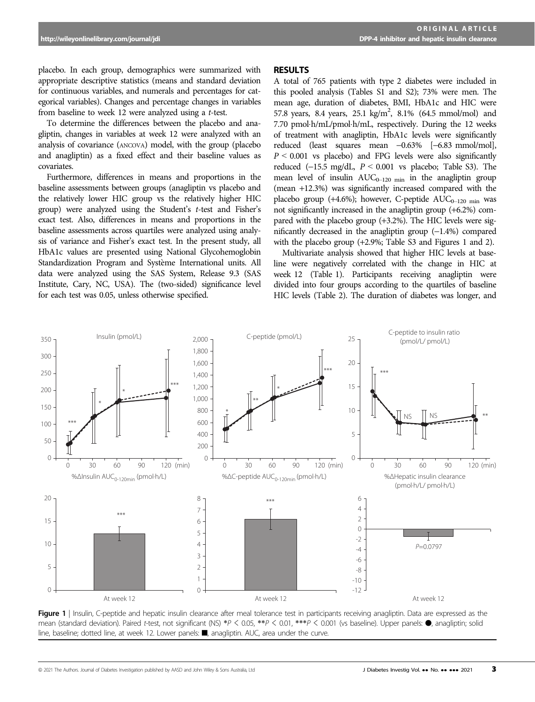placebo. In each group, demographics were summarized with appropriate descriptive statistics (means and standard deviation for continuous variables, and numerals and percentages for categorical variables). Changes and percentage changes in variables from baseline to week 12 were analyzed using a t-test.

To determine the differences between the placebo and anagliptin, changes in variables at week 12 were analyzed with an analysis of covariance (ANCOVA) model, with the group (placebo and anagliptin) as a fixed effect and their baseline values as covariates.

Furthermore, differences in means and proportions in the baseline assessments between groups (anagliptin vs placebo and the relatively lower HIC group vs the relatively higher HIC group) were analyzed using the Student's t-test and Fisher's exact test. Also, differences in means and proportions in the baseline assessments across quartiles were analyzed using analysis of variance and Fisher's exact test. In the present study, all HbA1c values are presented using National Glycohemoglobin Standardization Program and Systeme International units. All data were analyzed using the SAS System, Release 9.3 (SAS Institute, Cary, NC, USA). The (two-sided) significance level for each test was 0.05, unless otherwise specified.

#### RESULTS

A total of 765 patients with type 2 diabetes were included in this pooled analysis (Tables S1 and S2); 73% were men. The mean age, duration of diabetes, BMI, HbA1c and HIC were 57.8 years, 8.4 years, 25.1 kg/m<sup>2</sup>, 8.1% (64.5 mmol/mol) and 7.70 pmol·h/mL/pmol·h/mL, respectively. During the 12 weeks of treatment with anagliptin, HbA1c levels were significantly reduced (least squares mean -0.63% [-6.83 mmol/mol],  $P \leq 0.001$  vs placebo) and FPG levels were also significantly reduced  $(-15.5 \text{ mg/dL}, P < 0.001 \text{ vs } \text{placebo}; \text{ Table S3}).$  The mean level of insulin  $AUC_{0-120 \text{ min}}$  in the anagliptin group (mean +12.3%) was significantly increased compared with the placebo group (+4.6%); however, C-peptide  $AUC_{0-120 \text{ min}}$  was not significantly increased in the anagliptin group (+6.2%) compared with the placebo group (+3.2%). The HIC levels were significantly decreased in the anagliptin group  $(-1.4%)$  compared with the placebo group (+2.9%; Table S3 and Figures 1 and 2).

Multivariate analysis showed that higher HIC levels at baseline were negatively correlated with the change in HIC at week 12 (Table 1). Participants receiving anagliptin were divided into four groups according to the quartiles of baseline HIC levels (Table 2). The duration of diabetes was longer, and



Figure 1 | Insulin, C-peptide and hepatic insulin clearance after meal tolerance test in participants receiving anagliptin. Data are expressed as the mean (standard deviation). Paired t-test, not significant (NS) \*P < 0.05, \*\*P < 0.01, \*\*\*P < 0.001 (vs baseline). Upper panels: ●, anagliptin; solid line, baseline; dotted line, at week 12. Lower panels: ■, anagliptin. AUC, area under the curve.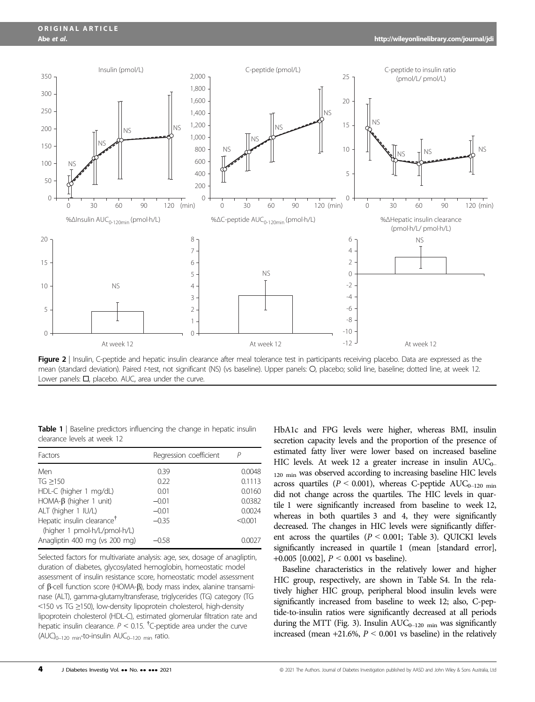

Figure 2 | Insulin, C-peptide and hepatic insulin clearance after meal tolerance test in participants receiving placebo. Data are expressed as the mean (standard deviation). Paired t-test, not significant (NS) (vs baseline). Upper panels: O, placebo; solid line, baseline; dotted line, at week 12. Lower panels: □, placebo. AUC, area under the curve.

Table 1 | Baseline predictors influencing the change in hepatic insulin clearance levels at week 12

| Factors                                                                | Regression coefficient |         |
|------------------------------------------------------------------------|------------------------|---------|
| Men                                                                    | 0.39                   | 0.0048  |
| TG > 150                                                               | 0.22                   | 0.1113  |
| HDL-C (higher 1 mg/dL)                                                 | 0.01                   | 0.0160  |
| HOMA- $\beta$ (higher 1 unit)                                          | $-0.01$                | 0.0382  |
| ALT (higher 1 IU/L)                                                    | $-0.01$                | 0.0024  |
| Hepatic insulin clearance <sup>†</sup><br>(higher 1 pmol-h/L/pmol-h/L) | $-0.35$                | < 0.001 |
| Anagliptin 400 mg (vs 200 mg)                                          | $-0.58$                | 0.0027  |

Selected factors for multivariate analysis: age, sex, dosage of anagliptin, duration of diabetes, glycosylated hemoglobin, homeostatic model assessment of insulin resistance score, homeostatic model assessment of  $\beta$ -cell function score (HOMA- $\beta$ ), body mass index, alanine transaminase (ALT), gamma-glutamyltransferase, triglycerides (TG) category (TG <150 vs TG ≥150), low-density lipoprotein cholesterol, high-density lipoprotein cholesterol (HDL-C), estimated glomerular filtration rate and hepatic insulin clearance.  $P < 0.15$ . <sup>†</sup>C-peptide area under the curve  $(AUC)_{0-120 \text{ min}}$ -to-insulin  $AUC_{0-120 \text{ min}}$  ratio.

HbA1c and FPG levels were higher, whereas BMI, insulin secretion capacity levels and the proportion of the presence of estimated fatty liver were lower based on increased baseline HIC levels. At week 12 a greater increase in insulin  $AUC_{0-}$ 120 min was observed according to increasing baseline HIC levels across quartiles ( $P < 0.001$ ), whereas C-peptide AUC<sub>0-120</sub> min did not change across the quartiles. The HIC levels in quartile 1 were significantly increased from baseline to week 12, whereas in both quartiles 3 and 4, they were significantly decreased. The changes in HIC levels were significantly different across the quartiles ( $P < 0.001$ ; Table 3). QUICKI levels significantly increased in quartile 1 (mean [standard error], +0.005 [0.002],  $P < 0.001$  vs baseline).

Baseline characteristics in the relatively lower and higher HIC group, respectively, are shown in Table S4. In the relatively higher HIC group, peripheral blood insulin levels were significantly increased from baseline to week 12; also, C-peptide-to-insulin ratios were significantly decreased at all periods during the MTT (Fig. 3). Insulin  $AUC_{0-120 \text{ min}}$  was significantly increased (mean  $+21.6\%$ ,  $P < 0.001$  vs baseline) in the relatively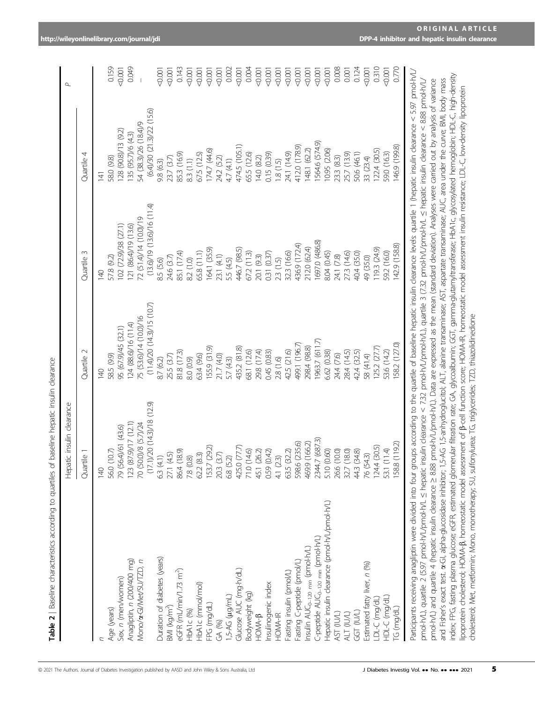|                                                         | ⊥                         |            |
|---------------------------------------------------------|---------------------------|------------|
|                                                         |                           | Quartile 4 |
|                                                         |                           | Quartile 3 |
|                                                         |                           | Quartile 2 |
| Jartiles of baseline hepatic insulin dearance<br>۶<br>Ī | Hepatic insulin clearance | Quartile   |
| CH CAINCACUUR VUIDIREUNGAL QAAIIQVR<br>5<br>)<br>)<br>) |                           |            |
| d                                                       |                           |            |

| Quartile 2                       | Quartile 3                                                                                                                                                                   | Quartile 4                                                                                                                                         |
|----------------------------------|------------------------------------------------------------------------------------------------------------------------------------------------------------------------------|----------------------------------------------------------------------------------------------------------------------------------------------------|
| $\frac{40}{5}$                   | 9<br>14                                                                                                                                                                      | 141                                                                                                                                                |
| 58.5 (9.9)                       | 57.8 (9.2)                                                                                                                                                                   | 58.0 (9.8)                                                                                                                                         |
| 95 (67.9)/45 (32.1)              | 102 (72.9)/38 (27.1)                                                                                                                                                         | 128 (90.8)/13 (9.2)                                                                                                                                |
| 124 (88.6)/16 (11.4)             | 121 (86.4)/19 (13.6)                                                                                                                                                         | 135 (95.7)/6 (4.3)                                                                                                                                 |
| 75 (53.6)/14 (10.0)/16           | 72 (51.4)/14 (10.0)/19                                                                                                                                                       | 54 (38.3)/26 (18.4)/9                                                                                                                              |
| $(11.4)/20$ $(14.3)/15$ $(10.7)$ | $(13.6)/19$ $(13.6)/16$ $(11.4)$                                                                                                                                             | $(6.4)/30$ (21.3)/22 (15.6)                                                                                                                        |
| 8.7 (6.2)                        | 8.5 (5.6)                                                                                                                                                                    | 98 (63)                                                                                                                                            |
| 25.5 (3.7)                       | 24.6 (3.7)                                                                                                                                                                   | 23.7 (3.7)                                                                                                                                         |
| 81.8 (17.3)                      | 85.1 (17.4)                                                                                                                                                                  | 85.3 (16.9)                                                                                                                                        |
| 8.0 (0.9)                        | 8.2 (1.0)                                                                                                                                                                    | 83 (1.1)                                                                                                                                           |
| 63.4 (9.6)                       | 65.8 (11.1)                                                                                                                                                                  | 67.5 (12.5)                                                                                                                                        |
| 155.9 (31.9)                     | 164.1 (35.9)                                                                                                                                                                 | 174.7 (44.6)                                                                                                                                       |
|                                  | 23.1 (4.1)                                                                                                                                                                   | 24.2 (5.2)                                                                                                                                         |
|                                  | 5.5 (4.5)                                                                                                                                                                    | 4.7 (4.1)                                                                                                                                          |
| 435.2 (81.8)                     |                                                                                                                                                                              | 474.5 (105.1)                                                                                                                                      |
| 68.1 (12.6)                      | 672(113)                                                                                                                                                                     | 65.5 (12.6)                                                                                                                                        |
|                                  |                                                                                                                                                                              | 14.0 (8.2)                                                                                                                                         |
|                                  |                                                                                                                                                                              | 0.15 (0.39)                                                                                                                                        |
|                                  |                                                                                                                                                                              | 1.8(1.5)                                                                                                                                           |
|                                  |                                                                                                                                                                              | 24.1 (14.9)                                                                                                                                        |
|                                  |                                                                                                                                                                              | 412.0 (178.9)                                                                                                                                      |
| 298.4 (98.8)                     |                                                                                                                                                                              | 148.1 (62.2)                                                                                                                                       |
|                                  | 1697.0 (486.8)                                                                                                                                                               | 1564.6 (574.9)                                                                                                                                     |
|                                  | 8.04 (0.45)                                                                                                                                                                  | 10.95 (2.06)                                                                                                                                       |
|                                  |                                                                                                                                                                              | 23.3 (8.3)                                                                                                                                         |
| 28.4 (14.5)                      |                                                                                                                                                                              | 25.7 (13.9)                                                                                                                                        |
|                                  | 40.4 (35.0)                                                                                                                                                                  | 50.6 (46.1)                                                                                                                                        |
| 58 (41.4)                        | 49 (35.0)                                                                                                                                                                    | 33 (23.4)                                                                                                                                          |
|                                  |                                                                                                                                                                              | 122.4 (30.5)                                                                                                                                       |
| 53.6 (14.2)                      | 59.2 (16.0)                                                                                                                                                                  | 59.0 (16.3)                                                                                                                                        |
| 58.2 (127.0)                     | 142.9 (158.8)                                                                                                                                                                | 146.9 (199.8)                                                                                                                                      |
|                                  | (11.7) (53.7)<br>499.1 (196.7)<br>125.2 (27.7)<br>29.8 (17.4)<br>42.5 (21.6)<br>0.45 (0.83)<br>6.62 (0.38)<br>42.4 (32.5)<br>21.7(4.0)<br>24.4 (7.6)<br>5.7(4.3)<br>2.8(1.6) | 436.9 (172.4)<br>212.0 (62.4)<br>446.7 (98.5)<br>119.3 (24.9)<br>32.3 (16.6)<br>27.3 (14.6)<br>0.31 (0.37)<br>20.1 (9.3)<br>24.1 (7.8)<br>2.3(1.5) |

| anticipants receiving anagliptin were divided into four groups according to the quartile of baseline hepatic insulin clearance levels quartile 1 (hepatic insulin clearance < 5.97 pmol-h/L/<br>ndex; FPG, fasting plasma glucose; eGFR, estimated glomated glomated glomate flitration rate; Gycoalbumin; GGT, gamma-glutamyltransferase; HDA1c, glycosylated hemoglobin; HDL-C, high-density<br>pmol·h/L), quartile 2 (5.97 pmol·h/L/pmol·h/L $\leq$ hepatic insulin clearance < 7.32 pmol·h/L/pmol·h/L], quartile 3 (7.32 pmol·h/L/pmol·h/L/ enel.pdi.in dearance < 8.88 pmol·h/L/<br>and Fisher's exact test. x-Gl, alpha-glucosidase inhibitor; 1,5-AG 1,5-anhydroglucitor; 1,5-anhydroglucitor; 1,5-AG 1,5-anhydroglucitor; 1,5-AG 1,5-anhydroglucitor; 1,5-AG 1,5-anhydroglucitor; 1,5-AG 1,5-anhydroglucitor; 1<br>pmol-h/L) and quartie 4 (hepatic insulin clearance > 888 pmol-h/L/pmol-h/L). Data are expressed as the mean (standard deviation). Analyses were carried out by analysis of variance<br>poprotein cholesterol; HOMA-B, homeostatic model assessment of B-cell function score; HOMA-IR, homeostatic model assessment insulin resistance; LDL-C, low-density lipoprotein<br>cholesterol; Met, metformin; Mono, monotherapy; SU, sulfonylurea; TG, triglycerides; TZD, thiazolidinedione |
|-----------------------------------------------------------------------------------------------------------------------------------------------------------------------------------------------------------------------------------------------------------------------------------------------------------------------------------------------------------------------------------------------------------------------------------------------------------------------------------------------------------------------------------------------------------------------------------------------------------------------------------------------------------------------------------------------------------------------------------------------------------------------------------------------------------------------------------------------------------------------------------------------------------------------------------------------------------------------------------------------------------------------------------------------------------------------------------------------------------------------------------------------------------------------------------------------------------------------------------------------------------------------------------------------------------------|
|-----------------------------------------------------------------------------------------------------------------------------------------------------------------------------------------------------------------------------------------------------------------------------------------------------------------------------------------------------------------------------------------------------------------------------------------------------------------------------------------------------------------------------------------------------------------------------------------------------------------------------------------------------------------------------------------------------------------------------------------------------------------------------------------------------------------------------------------------------------------------------------------------------------------------------------------------------------------------------------------------------------------------------------------------------------------------------------------------------------------------------------------------------------------------------------------------------------------------------------------------------------------------------------------------------------------|

<0.001

0.159

<0.001

0.124<br><0.001

0.310<br><0.001

0.770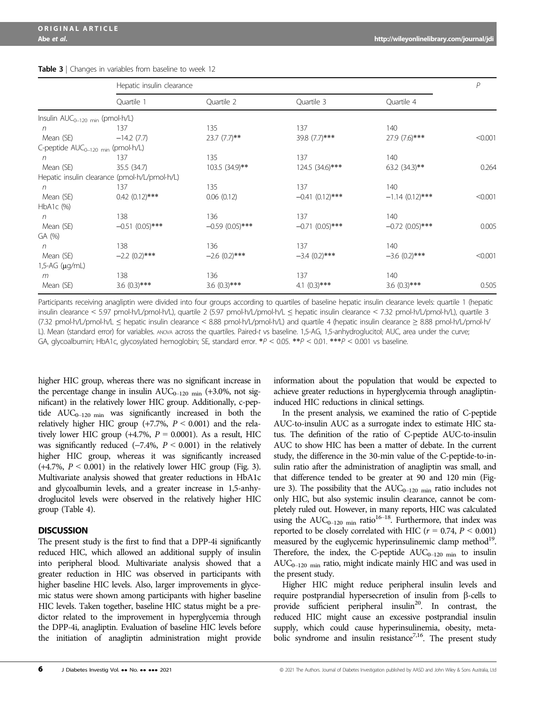|                                                          | Hepatic insulin clearance                     |                   |                   |                   | $\overline{P}$ |
|----------------------------------------------------------|-----------------------------------------------|-------------------|-------------------|-------------------|----------------|
|                                                          | Quartile 1                                    | Quartile 2        | Quartile 3        | Quartile 4        |                |
| Insulin $AUC_{0-120 \text{ min}}$ (pmol-h/L)             |                                               |                   |                   |                   |                |
| n                                                        | 137                                           | 135               | 137               | 140               |                |
| Mean (SE)                                                | $-14.2(7.7)$                                  | $23.7$ $(7.7)$ ** | 39.8 (7.7)***     | 27.9 (7.6)***     | < 0.001        |
| C-peptide AUC <sub>0-120</sub> <sub>min</sub> (pmol·h/L) |                                               |                   |                   |                   |                |
| n                                                        | 137                                           | 135               | 137               | 140               |                |
| Mean (SE)                                                | 35.5 (34.7)                                   | 103.5 (34.9)**    | 124.5 (34.6)***   | 63.2 (34.3)**     | 0.264          |
|                                                          | Hepatic insulin clearance (pmol-h/L/pmol-h/L) |                   |                   |                   |                |
| n                                                        | 137                                           | 135               | 137               | 140               |                |
| Mean (SE)                                                | $0.42$ $(0.12)***$                            | 0.06(0.12)        | $-0.41(0.12)$ *** | $-1.14(0.12)***$  | < 0.001        |
| $HbA1c$ $(\%)$                                           |                                               |                   |                   |                   |                |
| n                                                        | 138                                           | 136               | 137               | 140               |                |
| Mean (SE)                                                | $-0.51(0.05)$ ***                             | $-0.59(0.05)$ *** | $-0.71(0.05)$ *** | $-0.72$ (0.05)*** | 0.005          |
| GA (%)                                                   |                                               |                   |                   |                   |                |
| n                                                        | 138                                           | 136               | 137               | 140               |                |
| Mean (SE)                                                | $-2.2$ (0.2)***                               | $-2.6$ (0.2)***   | $-3.4$ (0.2)***   | $-3.6$ (0.2)***   | < 0.001        |
| 1,5-AG (µg/mL)                                           |                                               |                   |                   |                   |                |
| m                                                        | 138                                           | 136               | 137               | 140               |                |
| Mean (SE)                                                | $3.6(0.3)$ ***                                | $3.6(0.3)***$     | 4.1 $(0.3)$ ***   | $3.6(0.3)$ ***    | 0.505          |

Table 3 | Changes in variables from baseline to week 12

Participants receiving anagliptin were divided into four groups according to quartiles of baseline hepatic insulin clearance levels: quartile 1 (hepatic insulin clearance < 5.97 pmol·h/L/pmol·h/L), quartile 2 (5.97 pmol·h/L/pmol·h/L ≤ hepatic insulin clearance < 7.32 pmol·h/L/pmol·h/L), quartile 3 (7.32 pmol·h/L/pmol·h/L ≤ hepatic insulin clearance < 8.88 pmol·h/L/pmol·h/L) and quartile 4 (hepatic insulin clearance ≥ 8.88 pmol·h/L/pmol·h/ L). Mean (standard error) for variables. ANOVA across the quartiles. Paired-t vs baseline. 1,5-AG, 1,5-anhydroglucitol; AUC, area under the curve; GA, glycoalbumin; HbA1c, glycosylated hemoglobin; SE, standard error. \*P < 0.05. \*\*P < 0.01. \*\*\*P < 0.001 vs baseline.

higher HIC group, whereas there was no significant increase in the percentage change in insulin  $AUC_{0-120 \text{ min}}$  (+3.0%, not significant) in the relatively lower HIC group. Additionally, c-peptide  $AUC_{0-120 \text{ min}}$  was significantly increased in both the relatively higher HIC group  $(+7.7\%, P < 0.001)$  and the relatively lower HIC group  $(+4.7\%, P = 0.0001)$ . As a result, HIC was significantly reduced  $(-7.4\%, P < 0.001)$  in the relatively higher HIC group, whereas it was significantly increased  $(+4.7\%, P < 0.001)$  in the relatively lower HIC group (Fig. 3). Multivariate analysis showed that greater reductions in HbA1c and glycoalbumin levels, and a greater increase in 1,5-anhydroglucitol levels were observed in the relatively higher HIC group (Table 4).

#### **DISCUSSION**

The present study is the first to find that a DPP-4i significantly reduced HIC, which allowed an additional supply of insulin into peripheral blood. Multivariate analysis showed that a greater reduction in HIC was observed in participants with higher baseline HIC levels. Also, larger improvements in glycemic status were shown among participants with higher baseline HIC levels. Taken together, baseline HIC status might be a predictor related to the improvement in hyperglycemia through the DPP-4i, anagliptin. Evaluation of baseline HIC levels before the initiation of anagliptin administration might provide information about the population that would be expected to achieve greater reductions in hyperglycemia through anagliptininduced HIC reductions in clinical settings.

In the present analysis, we examined the ratio of C-peptide AUC-to-insulin AUC as a surrogate index to estimate HIC status. The definition of the ratio of C-peptide AUC-to-insulin AUC to show HIC has been a matter of debate. In the current study, the difference in the 30-min value of the C-peptide-to-insulin ratio after the administration of anagliptin was small, and that difference tended to be greater at 90 and 120 min (Figure 3). The possibility that the  $AUC_{0-120 \text{ min}}$  ratio includes not only HIC, but also systemic insulin clearance, cannot be completely ruled out. However, in many reports, HIC was calculated using the  $AUC_{0-120 \text{ min}}$  ratio<sup>16–18</sup>. Furthermore, that index was reported to be closely correlated with HIC ( $r = 0.74$ ,  $P < 0.001$ ) measured by the euglycemic hyperinsulinemic clamp method<sup>19</sup>. Therefore, the index, the C-peptide  $AUC_{0-120 \text{ min}}$  to insulin  $AUC_{0-120 \text{ min}}$  ratio, might indicate mainly HIC and was used in the present study.

Higher HIC might reduce peripheral insulin levels and require postprandial hypersecretion of insulin from  $\beta$ -cells to provide sufficient peripheral insulin<sup>20</sup>. In contrast, the reduced HIC might cause an excessive postprandial insulin supply, which could cause hyperinsulinemia, obesity, metabolic syndrome and insulin resistance<sup>7,16</sup>. The present study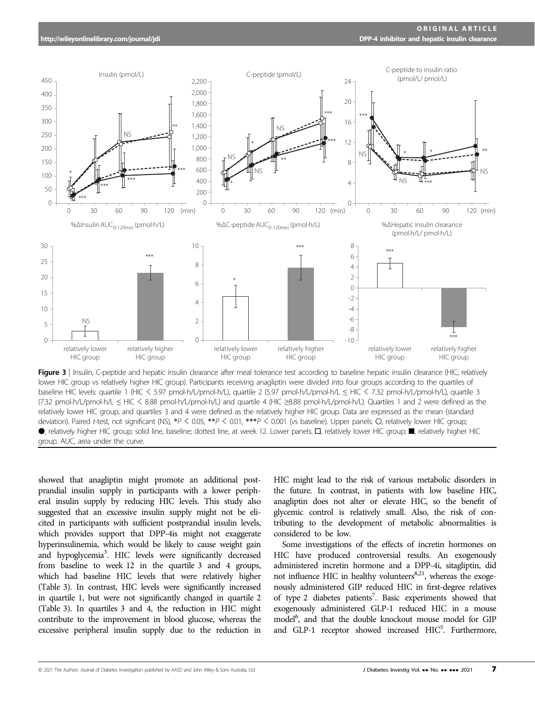

lower HIC group vs relatively higher HIC group). Participants receiving anagliptin were divided into four groups according to the quartiles of baseline HIC levels: quartile 1 (HIC < 5.97 pmol-h/L/pmol-h/L), quartile 2 (5.97 pmol-h/L/pmol-h/L ≤ HIC < 7.32 pmol-h/L/pmol-h/L), quartile 3 (7.32 pmolh/L/pmolh/L ≤ HIC < 8.88 pmolh/L/pmolh/L) and quartile 4 (HIC ≥8.88 pmolh/L/pmolh/L). Quartiles 1 and 2 were defined as the relatively lower HIC group, and quartiles 3 and 4 were defined as the relatively higher HIC group. Data are expressed as the mean (standard deviation). Paired t-test, not significant (NS), \*P < 0.05, \*\*P < 0.01, \*\*\*P < 0.001 (vs baseline). Upper panels: O, relatively lower HIC group; ●, relatively higher HIC group; solid line, baseline; dotted line, at week 12. Lower panels: □, relatively lower HIC group; ■, relatively higher HIC group. AUC, area under the curve.

showed that anagliptin might promote an additional postprandial insulin supply in participants with a lower peripheral insulin supply by reducing HIC levels. This study also suggested that an excessive insulin supply might not be elicited in participants with sufficient postprandial insulin levels, which provides support that DPP-4is might not exaggerate hyperinsulinemia, which would be likely to cause weight gain and hypoglycemia<sup>3</sup>. HIC levels were significantly decreased from baseline to week 12 in the quartile 3 and 4 groups, which had baseline HIC levels that were relatively higher (Table 3). In contrast, HIC levels were significantly increased in quartile 1, but were not significantly changed in quartile 2 (Table 3). In quartiles 3 and 4, the reduction in HIC might contribute to the improvement in blood glucose, whereas the excessive peripheral insulin supply due to the reduction in

HIC might lead to the risk of various metabolic disorders in the future. In contrast, in patients with low baseline HIC, anagliptin does not alter or elevate HIC, so the benefit of glycemic control is relatively small. Also, the risk of contributing to the development of metabolic abnormalities is considered to be low.

Some investigations of the effects of incretin hormones on HIC have produced controversial results. An exogenously administered incretin hormone and a DPP-4i, sitagliptin, did not influence HIC in healthy volunteers<sup>8,21</sup>, whereas the exogenously administered GIP reduced HIC in first-degree relatives of type 2 diabetes patients<sup>7</sup>. Basic experiments showed that exogenously administered GLP-1 reduced HIC in a mouse model<sup>6</sup>, and that the double knockout mouse model for GIP and GLP-1 receptor showed increased HIC<sup>5</sup>. Furthermore,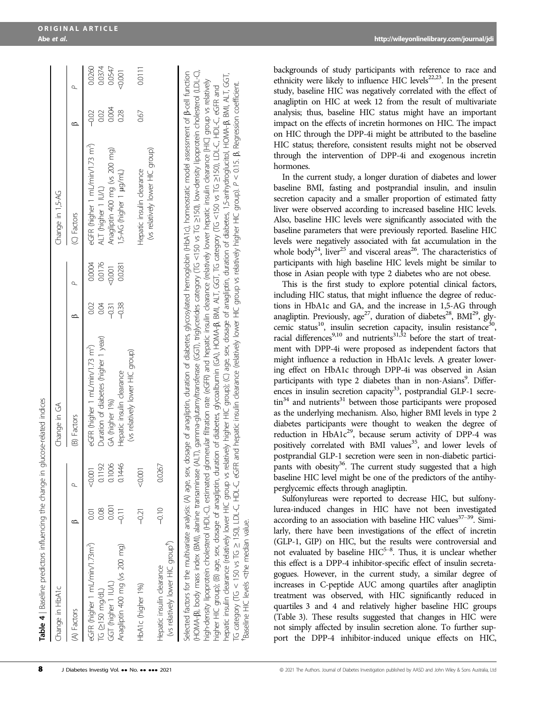| Change in HbA1c                                               |          |          | Change in GA                                                                                                                                                                                                                                                                                                                                                                                                                                                                                                                                                                                                                              |         |        | Change in 1,5-AG                            |         |        |
|---------------------------------------------------------------|----------|----------|-------------------------------------------------------------------------------------------------------------------------------------------------------------------------------------------------------------------------------------------------------------------------------------------------------------------------------------------------------------------------------------------------------------------------------------------------------------------------------------------------------------------------------------------------------------------------------------------------------------------------------------------|---------|--------|---------------------------------------------|---------|--------|
| (A) Factors                                                   |          |          | (B) Factors                                                                                                                                                                                                                                                                                                                                                                                                                                                                                                                                                                                                                               |         |        | (C) Factors                                 |         |        |
| eGFR (higher 1 mL/min/1.73m <sup>2</sup> )                    | S        | $-0.001$ | eGFR (higher 1 mL/min/1.73 m <sup>2</sup> )                                                                                                                                                                                                                                                                                                                                                                                                                                                                                                                                                                                               | 0.02    | 0.0004 | eGFR (higher 1 mL/min/1.73 m <sup>2</sup> ) | $-0.02$ | 0.0260 |
| TG ≥150 ma/dL)                                                | 0.08     | 0.1192   | Duration of diabetes (higher 1 year)                                                                                                                                                                                                                                                                                                                                                                                                                                                                                                                                                                                                      | 0.04    | 0.0176 | ALT (higher 1 IU/L)                         | 0.02    | 0.0374 |
| GGT (higher 1 IU/L)                                           | 5<br>001 | 0.1006   | GA (higher 1%)                                                                                                                                                                                                                                                                                                                                                                                                                                                                                                                                                                                                                            | $-0.31$ | 50001  | Anagliptin 400 mg (vs 200 mg)               | 0.004   | 0.0547 |
| Anagliptin 400 mg (vs 200 mg)                                 | $-9.11$  | 0.1446   | Hepatic insulin clearance                                                                                                                                                                                                                                                                                                                                                                                                                                                                                                                                                                                                                 | $-0.38$ | 0.0281 | 1,5-AG (higher 1 $\mu$ g/mL)                | 0.28    | 5000   |
|                                                               |          |          | (vs relatively lower HIC group)                                                                                                                                                                                                                                                                                                                                                                                                                                                                                                                                                                                                           |         |        |                                             |         |        |
| HbA1c (higher 1%)                                             | $-0.21$  | $-0.001$ |                                                                                                                                                                                                                                                                                                                                                                                                                                                                                                                                                                                                                                           |         |        | Hepatic insulin clearance                   | 0.67    | 0.0111 |
|                                                               |          |          |                                                                                                                                                                                                                                                                                                                                                                                                                                                                                                                                                                                                                                           |         |        | (vs relatively lower HIC group)             |         |        |
| (vs relatively lower HIC group')<br>Hepatic insulin clearance | $-0.10$  | 0.0267   |                                                                                                                                                                                                                                                                                                                                                                                                                                                                                                                                                                                                                                           |         |        |                                             |         |        |
|                                                               |          |          | (HOMA-B), body mass index (BMI), alanine transaminase (ALT), gamma-glutamyltransferase (GGT), rigly/cerides category (TG <iso (ldl-c),="" (ldl-c),<br="" <iso="" cholesterol="" lipoporeiol="" low-density="" tg="" u-q-2150),="" vs="">Selected factors for the multivariate analysis: (A) age, sex, dosage of anagliptin, duration of diabetes, glycosylated hemoglobin (HbATc), homeostatic model assessment of B-cell function<br/>high-density lipoprotein cholesterol (HDL-C), estimated glomerular filtration rate (eGFR) and hepatic insulin clearace (relatively lower hepatic insulin clearance [HIC] group vs relatively</iso> |         |        |                                             |         |        |
|                                                               |          |          |                                                                                                                                                                                                                                                                                                                                                                                                                                                                                                                                                                                                                                           |         |        |                                             |         |        |

higher HIC group); (B) age, sex, dosage of anagliptin, duration of diabetes, glycoalbumin (GA), HOMA-β, BMI, ALT, GGT, TG category (TG <150 vs TG ≥150), LDL-C, HGL-R, Rand<br>hepatic insulin clearance (relatively lower HIC g hepatic insulin clearance (relatively lower HIC group vs relatively higher HIC group); (C) age, sex, dosage of anagliptin, duration of diabetes, 1,5-anhydroglucitol, HOMA-b, BMI, ALT, GGT, 150), LDL-C, HDL-C, eGFR and hepatic insulin clearance (relatively lower HIC group vs relatively higher HIC group). P < 0.15. b, Regression coefficient. ≥150), LDL-C, HDL-C, eGFR and <150 vs TG higher HIC group); (B) age, sex, dosage of anagliptin, duration of diabetes, glycoalbumin (GA), HOMA-b, BMI, ALT, GGT, TG category (TG Baseline HIC levels <the median value. <the median value. ∧∣ 150 vs TG †Baseline HIC levels V TG category (TG

backgrounds of study participants with reference to race and ethnicity were likely to influence HIC levels<sup>22,23</sup>. In the present study, baseline HIC was negatively correlated with the effect of anagliptin on HIC at week 12 from the result of multivariate analysis; thus, baseline HIC status might have an important impact on the effects of incretin hormones on HIC. The impact on HIC through the DPP-4i might be attributed to the baseline HIC status; therefore, consistent results might not be observed through the intervention of DPP-4i and exogenous incretin hormones.

In the current study, a longer duration of diabetes and lower baseline BMI, fasting and postprandial insulin, and insulin secretion capacity and a smaller proportion of estimated fatty liver were observed according to increased baseline HIC levels. Also, baseline HIC levels were significantly associated with the baseline parameters that were previously reported. Baseline HIC levels were negatively associated with fat accumulation in the whole body<sup>24</sup>, liver<sup>25</sup> and visceral areas<sup>26</sup>. The characteristics of participants with high baseline HIC levels might be similar to those in Asian people with type 2 diabetes who are not obese.

This is the first study to explore potential clinical factors, including HIC status, that might influence the degree of reductions in HbA1c and GA, and the increase in 1,5-AG through anagliptin. Previously, age<sup>27</sup>, duration of diabetes<sup>28</sup>, BMI<sup>29</sup>, glycemic status<sup>10</sup>, insulin secretion capacity, insulin resistance<sup>30</sup>, racial differences<sup>9,10</sup> and nutrients<sup>31,32</sup> before the start of treatment with DPP-4i were proposed as independent factors that might influence a reduction in HbA1c levels. A greater lowering effect on HbA1c through DPP-4i was observed in Asian participants with type 2 diabetes than in non-Asians<sup>9</sup>. Differences in insulin secretion capacity $33$ , postprandial GLP-1 secre- $\text{tin}^{34}$  and nutrients<sup>31</sup> between those participants were proposed as the underlying mechanism. Also, higher BMI levels in type 2 diabetes participants were thought to weaken the degree of reduction in HbA1c<sup>29</sup>, because serum activity of DPP-4 was positively correlated with BMI values<sup>35</sup>, and lower levels of postprandial GLP-1 secretion were seen in non-diabetic participants with obesity<sup>36</sup>. The current study suggested that a high baseline HIC level might be one of the predictors of the antihyperglycemic effects through anagliptin.

Sulfonylureas were reported to decrease HIC, but sulfonylurea-induced changes in HIC have not been investigated according to an association with baseline HIC values $37-39$ . Similarly, there have been investigations of the effect of incretin (GLP-1, GIP) on HIC, but the results were controversial and not evaluated by baseline HIC<sup>5-8</sup>. Thus, it is unclear whether this effect is a DPP-4 inhibitor-specific effect of insulin secretagogues. However, in the current study, a similar degree of increases in C-peptide AUC among quartiles after anagliptin treatment was observed, with HIC significantly reduced in quartiles 3 and 4 and relatively higher baseline HIC groups (Table 3). These results suggested that changes in HIC were not simply affected by insulin secretion alone. To further support the DPP-4 inhibitor-induced unique effects on HIC,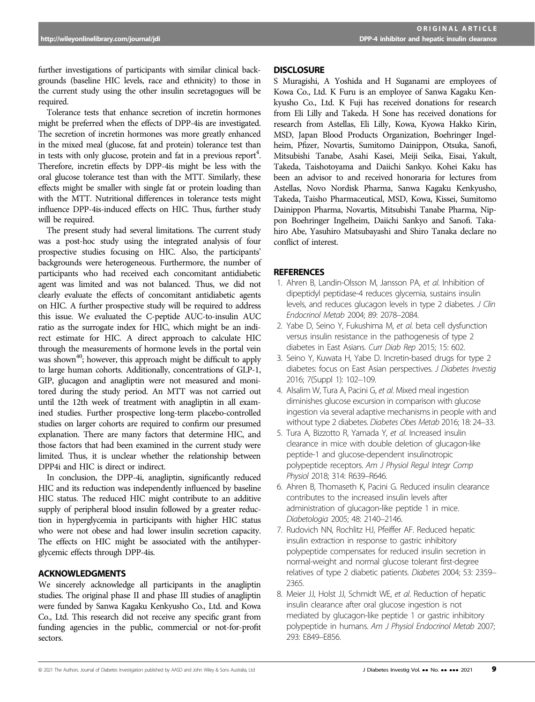further investigations of participants with similar clinical backgrounds (baseline HIC levels, race and ethnicity) to those in the current study using the other insulin secretagogues will be required.

Tolerance tests that enhance secretion of incretin hormones might be preferred when the effects of DPP-4is are investigated. The secretion of incretin hormones was more greatly enhanced in the mixed meal (glucose, fat and protein) tolerance test than in tests with only glucose, protein and fat in a previous report<sup>4</sup>. Therefore, incretin effects by DPP-4is might be less with the oral glucose tolerance test than with the MTT. Similarly, these effects might be smaller with single fat or protein loading than with the MTT. Nutritional differences in tolerance tests might influence DPP-4is-induced effects on HIC. Thus, further study will be required.

The present study had several limitations. The current study was a post-hoc study using the integrated analysis of four prospective studies focusing on HIC. Also, the participants' backgrounds were heterogeneous. Furthermore, the number of participants who had received each concomitant antidiabetic agent was limited and was not balanced. Thus, we did not clearly evaluate the effects of concomitant antidiabetic agents on HIC. A further prospective study will be required to address this issue. We evaluated the C-peptide AUC-to-insulin AUC ratio as the surrogate index for HIC, which might be an indirect estimate for HIC. A direct approach to calculate HIC through the measurements of hormone levels in the portal vein was shown<sup>40</sup>; however, this approach might be difficult to apply to large human cohorts. Additionally, concentrations of GLP-1, GIP, glucagon and anagliptin were not measured and monitored during the study period. An MTT was not carried out until the 12th week of treatment with anagliptin in all examined studies. Further prospective long-term placebo-controlled studies on larger cohorts are required to confirm our presumed explanation. There are many factors that determine HIC, and those factors that had been examined in the current study were limited. Thus, it is unclear whether the relationship between DPP4i and HIC is direct or indirect.

In conclusion, the DPP-4i, anagliptin, significantly reduced HIC and its reduction was independently influenced by baseline HIC status. The reduced HIC might contribute to an additive supply of peripheral blood insulin followed by a greater reduction in hyperglycemia in participants with higher HIC status who were not obese and had lower insulin secretion capacity. The effects on HIC might be associated with the antihyperglycemic effects through DPP-4is.

### ACKNOWLEDGMENTS

We sincerely acknowledge all participants in the anagliptin studies. The original phase II and phase III studies of anagliptin were funded by Sanwa Kagaku Kenkyusho Co., Ltd. and Kowa Co., Ltd. This research did not receive any specific grant from funding agencies in the public, commercial or not-for-profit sectors.

#### **DISCLOSURE**

S Muragishi, A Yoshida and H Suganami are employees of Kowa Co., Ltd. K Furu is an employee of Sanwa Kagaku Kenkyusho Co., Ltd. K Fuji has received donations for research from Eli Lilly and Takeda. H Sone has received donations for research from Astellas, Eli Lilly, Kowa, Kyowa Hakko Kirin, MSD, Japan Blood Products Organization, Boehringer Ingelheim, Pfizer, Novartis, Sumitomo Dainippon, Otsuka, Sanofi, Mitsubishi Tanabe, Asahi Kasei, Meiji Seika, Eisai, Yakult, Takeda, Taishotoyama and Daiichi Sankyo. Kohei Kaku has been an advisor to and received honoraria for lectures from Astellas, Novo Nordisk Pharma, Sanwa Kagaku Kenkyusho, Takeda, Taisho Pharmaceutical, MSD, Kowa, Kissei, Sumitomo Dainippon Pharma, Novartis, Mitsubishi Tanabe Pharma, Nippon Boehringer Ingelheim, Daiichi Sankyo and Sanofi. Takahiro Abe, Yasuhiro Matsubayashi and Shiro Tanaka declare no conflict of interest.

#### **REFERENCES**

- 1. Ahren B, Landin-Olsson M, Jansson PA, et al. Inhibition of dipeptidyl peptidase-4 reduces glycemia, sustains insulin levels, and reduces glucagon levels in type 2 diabetes. J Clin Endocrinol Metab 2004; 89: 2078–2084.
- 2. Yabe D, Seino Y, Fukushima M, et al. beta cell dysfunction versus insulin resistance in the pathogenesis of type 2 diabetes in East Asians. Curr Diab Rep 2015; 15: 602.
- 3. Seino Y, Kuwata H, Yabe D. Incretin-based drugs for type 2 diabetes: focus on East Asian perspectives. J Diabetes Investig 2016; 7(Suppl 1): 102–109.
- 4. Alsalim W, Tura A, Pacini G, et al. Mixed meal ingestion diminishes glucose excursion in comparison with glucose ingestion via several adaptive mechanisms in people with and without type 2 diabetes. Diabetes Obes Metab 2016; 18: 24–33.
- 5. Tura A, Bizzotto R, Yamada Y, et al. Increased insulin clearance in mice with double deletion of glucagon-like peptide-1 and glucose-dependent insulinotropic polypeptide receptors. Am J Physiol Regul Integr Comp Physiol 2018; 314: R639–R646.
- 6. Ahren B, Thomaseth K, Pacini G. Reduced insulin clearance contributes to the increased insulin levels after administration of glucagon-like peptide 1 in mice. Diabetologia 2005; 48: 2140–2146.
- 7. Rudovich NN, Rochlitz HJ, Pfeiffer AF. Reduced hepatic insulin extraction in response to gastric inhibitory polypeptide compensates for reduced insulin secretion in normal-weight and normal glucose tolerant first-degree relatives of type 2 diabetic patients. Diabetes 2004; 53: 2359– 2365.
- 8. Meier JJ, Holst JJ, Schmidt WE, et al. Reduction of hepatic insulin clearance after oral glucose ingestion is not mediated by glucagon-like peptide 1 or gastric inhibitory polypeptide in humans. Am J Physiol Endocrinol Metab 2007; 293: E849–E856.

<sup>&</sup>lt;sup>©</sup> 2021 The Authors. Journal of Diabetes Investigation published by AASD and John Wiley & Sons Australia, Ltd J Diabetes Investig Vol. **•• No. •••••** 2021 9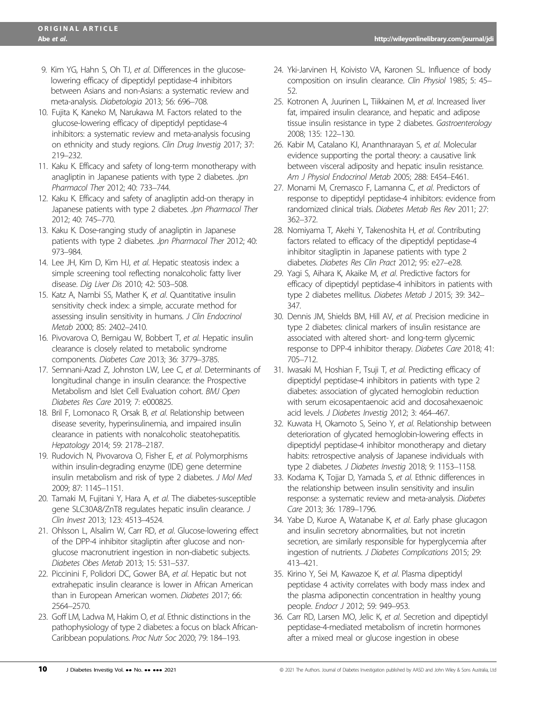- 9. Kim YG, Hahn S, Oh TJ, et al. Differences in the glucoselowering efficacy of dipeptidyl peptidase-4 inhibitors between Asians and non-Asians: a systematic review and meta-analysis. Diabetologia 2013; 56: 696–708.
- 10. Fujita K, Kaneko M, Narukawa M. Factors related to the glucose-lowering efficacy of dipeptidyl peptidase-4 inhibitors: a systematic review and meta-analysis focusing on ethnicity and study regions. Clin Drug Investig 2017; 37: 219–232.
- 11. Kaku K. Efficacy and safety of long-term monotherapy with anagliptin in Japanese patients with type 2 diabetes. Jpn Pharmacol Ther 2012; 40: 733–744.
- 12. Kaku K. Efficacy and safety of anagliptin add-on therapy in Japanese patients with type 2 diabetes. Jpn Pharmacol Ther 2012; 40: 745–770.
- 13. Kaku K. Dose-ranging study of anagliptin in Japanese patients with type 2 diabetes. Jpn Pharmacol Ther 2012; 40: 973–984.
- 14. Lee JH, Kim D, Kim HJ, et al. Hepatic steatosis index: a simple screening tool reflecting nonalcoholic fatty liver disease. Dig Liver Dis 2010; 42: 503–508.
- 15. Katz A, Nambi SS, Mather K, et al. Quantitative insulin sensitivity check index: a simple, accurate method for assessing insulin sensitivity in humans. J Clin Endocrinol Metab 2000; 85: 2402–2410.
- 16. Pivovarova O, Bernigau W, Bobbert T, et al. Hepatic insulin clearance is closely related to metabolic syndrome components. Diabetes Care 2013; 36: 3779–3785.
- 17. Semnani-Azad Z, Johnston LW, Lee C, et al. Determinants of longitudinal change in insulin clearance: the Prospective Metabolism and Islet Cell Evaluation cohort. BMJ Open Diabetes Res Care 2019; 7: e000825.
- 18. Bril F, Lomonaco R, Orsak B, et al. Relationship between disease severity, hyperinsulinemia, and impaired insulin clearance in patients with nonalcoholic steatohepatitis. Hepatology 2014; 59: 2178–2187.
- 19. Rudovich N, Pivovarova O, Fisher E, et al. Polymorphisms within insulin-degrading enzyme (IDE) gene determine insulin metabolism and risk of type 2 diabetes. J Mol Med 2009; 87: 1145–1151.
- 20. Tamaki M, Fujitani Y, Hara A, et al. The diabetes-susceptible gene SLC30A8/ZnT8 regulates hepatic insulin clearance. J Clin Invest 2013; 123: 4513–4524.
- 21. Ohlsson L, Alsalim W, Carr RD, et al. Glucose-lowering effect of the DPP-4 inhibitor sitagliptin after glucose and nonglucose macronutrient ingestion in non-diabetic subjects. Diabetes Obes Metab 2013; 15: 531–537.
- 22. Piccinini F, Polidori DC, Gower BA, et al. Hepatic but not extrahepatic insulin clearance is lower in African American than in European American women. Diabetes 2017; 66: 2564–2570.
- 23. Goff LM, Ladwa M, Hakim O, et al. Ethnic distinctions in the pathophysiology of type 2 diabetes: a focus on black African-Caribbean populations. Proc Nutr Soc 2020; 79: 184–193.
- 24. Yki-Jarvinen H, Koivisto VA, Karonen SL. Influence of body composition on insulin clearance. Clin Physiol 1985; 5: 45– 52.
- 25. Kotronen A, Juurinen L, Tiikkainen M, et al. Increased liver fat, impaired insulin clearance, and hepatic and adipose tissue insulin resistance in type 2 diabetes. Gastroenterology 2008; 135: 122–130.
- 26. Kabir M, Catalano KJ, Ananthnarayan S, et al. Molecular evidence supporting the portal theory: a causative link between visceral adiposity and hepatic insulin resistance. Am J Physiol Endocrinol Metab 2005; 288: E454–E461.
- 27. Monami M, Cremasco F, Lamanna C, et al. Predictors of response to dipeptidyl peptidase-4 inhibitors: evidence from randomized clinical trials. Diabetes Metab Res Rev 2011; 27: 362–372.
- 28. Nomiyama T, Akehi Y, Takenoshita H, et al. Contributing factors related to efficacy of the dipeptidyl peptidase-4 inhibitor sitagliptin in Japanese patients with type 2 diabetes. Diabetes Res Clin Pract 2012; 95: e27–e28.
- 29. Yagi S, Aihara K, Akaike M, et al. Predictive factors for efficacy of dipeptidyl peptidase-4 inhibitors in patients with type 2 diabetes mellitus. Diabetes Metab J 2015; 39: 342– 347.
- 30. Dennis JM, Shields BM, Hill AV, et al. Precision medicine in type 2 diabetes: clinical markers of insulin resistance are associated with altered short- and long-term glycemic response to DPP-4 inhibitor therapy. Diabetes Care 2018; 41: 705–712.
- 31. Iwasaki M, Hoshian F, Tsuji T, et al. Predicting efficacy of dipeptidyl peptidase-4 inhibitors in patients with type 2 diabetes: association of glycated hemoglobin reduction with serum eicosapentaenoic acid and docosahexaenoic acid levels. J Diabetes Investig 2012; 3: 464–467.
- 32. Kuwata H, Okamoto S, Seino Y, et al. Relationship between deterioration of glycated hemoglobin-lowering effects in dipeptidyl peptidase-4 inhibitor monotherapy and dietary habits: retrospective analysis of Japanese individuals with type 2 diabetes. J Diabetes Investig 2018; 9: 1153–1158.
- 33. Kodama K, Tojjar D, Yamada S, et al. Ethnic differences in the relationship between insulin sensitivity and insulin response: a systematic review and meta-analysis. Diabetes Care 2013; 36: 1789–1796.
- 34. Yabe D, Kuroe A, Watanabe K, et al. Early phase glucagon and insulin secretory abnormalities, but not incretin secretion, are similarly responsible for hyperglycemia after ingestion of nutrients. J Diabetes Complications 2015; 29: 413–421.
- 35. Kirino Y, Sei M, Kawazoe K, et al. Plasma dipeptidyl peptidase 4 activity correlates with body mass index and the plasma adiponectin concentration in healthy young people. Endocr J 2012; 59: 949–953.
- 36. Carr RD, Larsen MO, Jelic K, et al. Secretion and dipeptidyl peptidase-4-mediated metabolism of incretin hormones after a mixed meal or glucose ingestion in obese